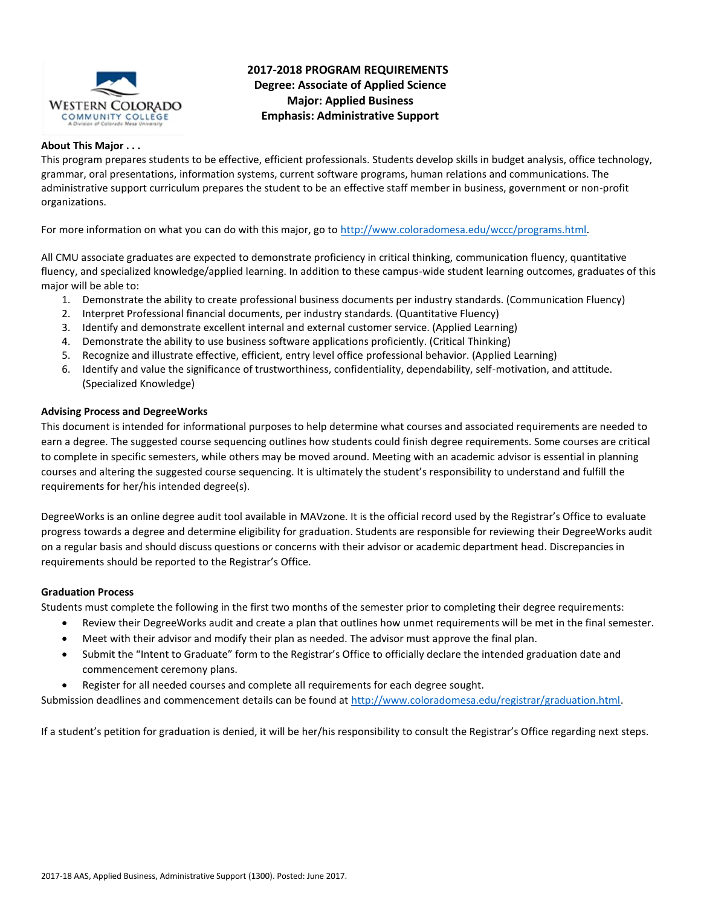

# **2017-2018 PROGRAM REQUIREMENTS Degree: Associate of Applied Science Major: Applied Business Emphasis: Administrative Support**

#### **About This Major . . .**

This program prepares students to be effective, efficient professionals. Students develop skills in budget analysis, office technology, grammar, oral presentations, information systems, current software programs, human relations and communications. The administrative support curriculum prepares the student to be an effective staff member in business, government or non-profit organizations.

For more information on what you can do with this major, go to [http://www.coloradomesa.edu/wccc/programs.html.](http://www.coloradomesa.edu/wccc/programs.html)

All CMU associate graduates are expected to demonstrate proficiency in critical thinking, communication fluency, quantitative fluency, and specialized knowledge/applied learning. In addition to these campus-wide student learning outcomes, graduates of this major will be able to:

- 1. Demonstrate the ability to create professional business documents per industry standards. (Communication Fluency)
- 2. Interpret Professional financial documents, per industry standards. (Quantitative Fluency)
- 3. Identify and demonstrate excellent internal and external customer service. (Applied Learning)
- 4. Demonstrate the ability to use business software applications proficiently. (Critical Thinking)
- 5. Recognize and illustrate effective, efficient, entry level office professional behavior. (Applied Learning)
- 6. Identify and value the significance of trustworthiness, confidentiality, dependability, self-motivation, and attitude. (Specialized Knowledge)

#### **Advising Process and DegreeWorks**

This document is intended for informational purposes to help determine what courses and associated requirements are needed to earn a degree. The suggested course sequencing outlines how students could finish degree requirements. Some courses are critical to complete in specific semesters, while others may be moved around. Meeting with an academic advisor is essential in planning courses and altering the suggested course sequencing. It is ultimately the student's responsibility to understand and fulfill the requirements for her/his intended degree(s).

DegreeWorks is an online degree audit tool available in MAVzone. It is the official record used by the Registrar's Office to evaluate progress towards a degree and determine eligibility for graduation. Students are responsible for reviewing their DegreeWorks audit on a regular basis and should discuss questions or concerns with their advisor or academic department head. Discrepancies in requirements should be reported to the Registrar's Office.

#### **Graduation Process**

Students must complete the following in the first two months of the semester prior to completing their degree requirements:

- Review their DegreeWorks audit and create a plan that outlines how unmet requirements will be met in the final semester.
- Meet with their advisor and modify their plan as needed. The advisor must approve the final plan.
- Submit the "Intent to Graduate" form to the Registrar's Office to officially declare the intended graduation date and commencement ceremony plans.
- Register for all needed courses and complete all requirements for each degree sought.

Submission deadlines and commencement details can be found at [http://www.coloradomesa.edu/registrar/graduation.html.](http://www.coloradomesa.edu/registrar/graduation.html)

If a student's petition for graduation is denied, it will be her/his responsibility to consult the Registrar's Office regarding next steps.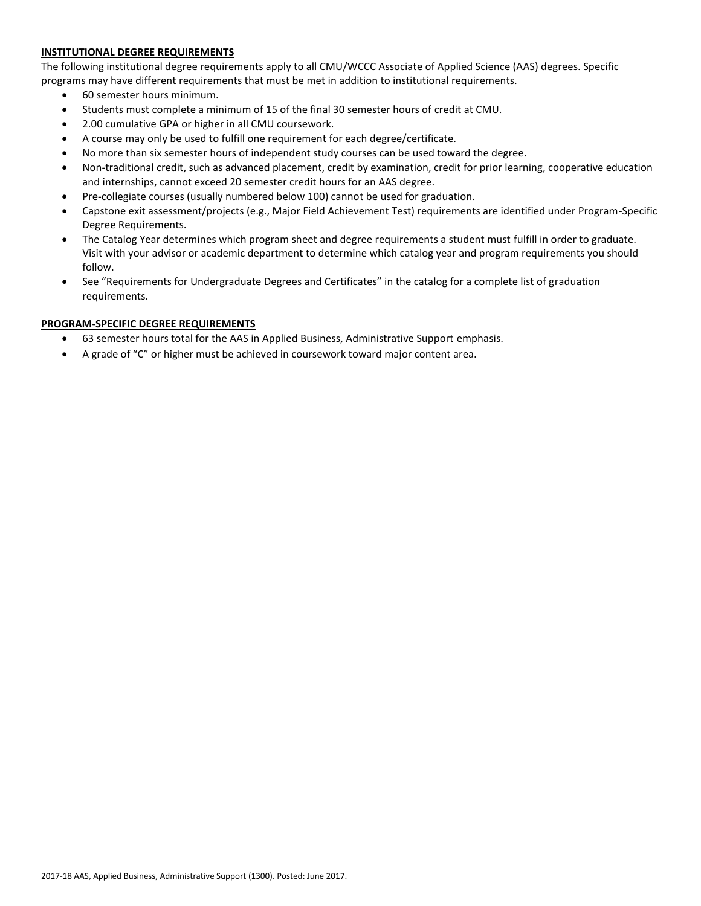# **INSTITUTIONAL DEGREE REQUIREMENTS**

The following institutional degree requirements apply to all CMU/WCCC Associate of Applied Science (AAS) degrees. Specific programs may have different requirements that must be met in addition to institutional requirements.

- 60 semester hours minimum.
- Students must complete a minimum of 15 of the final 30 semester hours of credit at CMU.
- 2.00 cumulative GPA or higher in all CMU coursework.
- A course may only be used to fulfill one requirement for each degree/certificate.
- No more than six semester hours of independent study courses can be used toward the degree.
- Non-traditional credit, such as advanced placement, credit by examination, credit for prior learning, cooperative education and internships, cannot exceed 20 semester credit hours for an AAS degree.
- Pre-collegiate courses (usually numbered below 100) cannot be used for graduation.
- Capstone exit assessment/projects (e.g., Major Field Achievement Test) requirements are identified under Program-Specific Degree Requirements.
- The Catalog Year determines which program sheet and degree requirements a student must fulfill in order to graduate. Visit with your advisor or academic department to determine which catalog year and program requirements you should follow.
- See "Requirements for Undergraduate Degrees and Certificates" in the catalog for a complete list of graduation requirements.

#### **PROGRAM-SPECIFIC DEGREE REQUIREMENTS**

- 63 semester hours total for the AAS in Applied Business, Administrative Support emphasis.
- A grade of "C" or higher must be achieved in coursework toward major content area.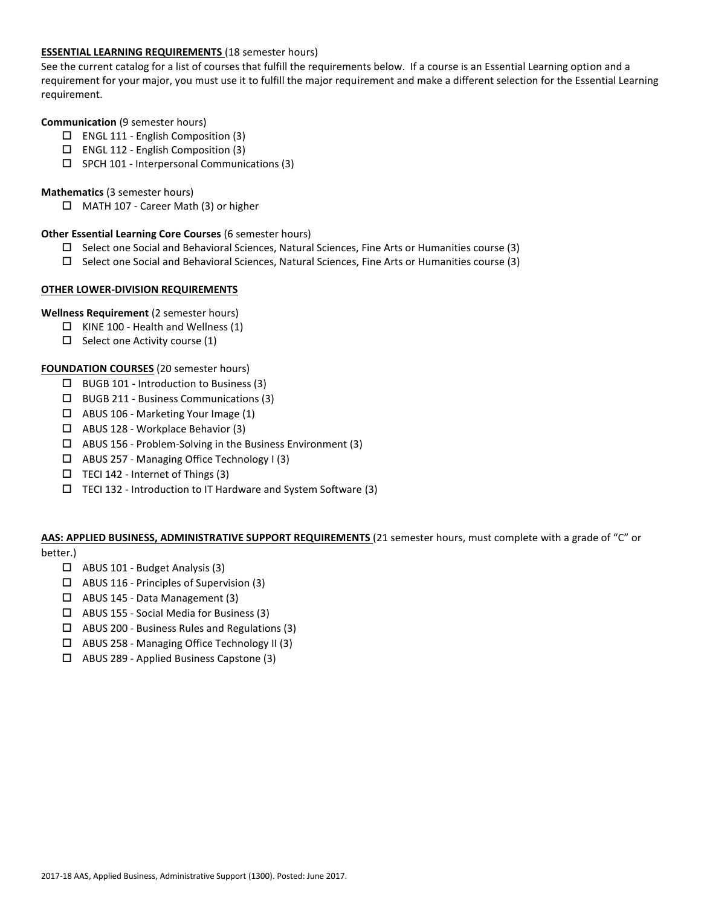## **ESSENTIAL LEARNING REQUIREMENTS** (18 semester hours)

See the current catalog for a list of courses that fulfill the requirements below. If a course is an Essential Learning option and a requirement for your major, you must use it to fulfill the major requirement and make a different selection for the Essential Learning requirement.

#### **Communication** (9 semester hours)

- $\Box$  ENGL 111 English Composition (3)
- ENGL 112 English Composition (3)
- $\square$  SPCH 101 Interpersonal Communications (3)

## **Mathematics** (3 semester hours)

□ MATH 107 - Career Math (3) or higher

### **Other Essential Learning Core Courses** (6 semester hours)

- $\square$  Select one Social and Behavioral Sciences, Natural Sciences, Fine Arts or Humanities course (3)
- $\square$  Select one Social and Behavioral Sciences, Natural Sciences, Fine Arts or Humanities course (3)

#### **OTHER LOWER-DIVISION REQUIREMENTS**

#### **Wellness Requirement** (2 semester hours)

- $\Box$  KINE 100 Health and Wellness (1)
- $\Box$  Select one Activity course (1)

#### **FOUNDATION COURSES** (20 semester hours)

- $\Box$  BUGB 101 Introduction to Business (3)
- $\Box$  BUGB 211 Business Communications (3)
- ABUS 106 Marketing Your Image (1)
- ABUS 128 Workplace Behavior (3)
- $\Box$  ABUS 156 Problem-Solving in the Business Environment (3)
- ABUS 257 Managing Office Technology I (3)
- $\Box$  TECI 142 Internet of Things (3)
- TECI 132 Introduction to IT Hardware and System Software (3)

# **AAS: APPLIED BUSINESS, ADMINISTRATIVE SUPPORT REQUIREMENTS** (21 semester hours, must complete with a grade of "C" or

# better.)

- $\Box$  ABUS 101 Budget Analysis (3)
- ABUS 116 Principles of Supervision (3)
- ABUS 145 Data Management (3)
- ABUS 155 Social Media for Business (3)
- ABUS 200 Business Rules and Regulations (3)
- ABUS 258 Managing Office Technology II (3)
- ABUS 289 Applied Business Capstone (3)